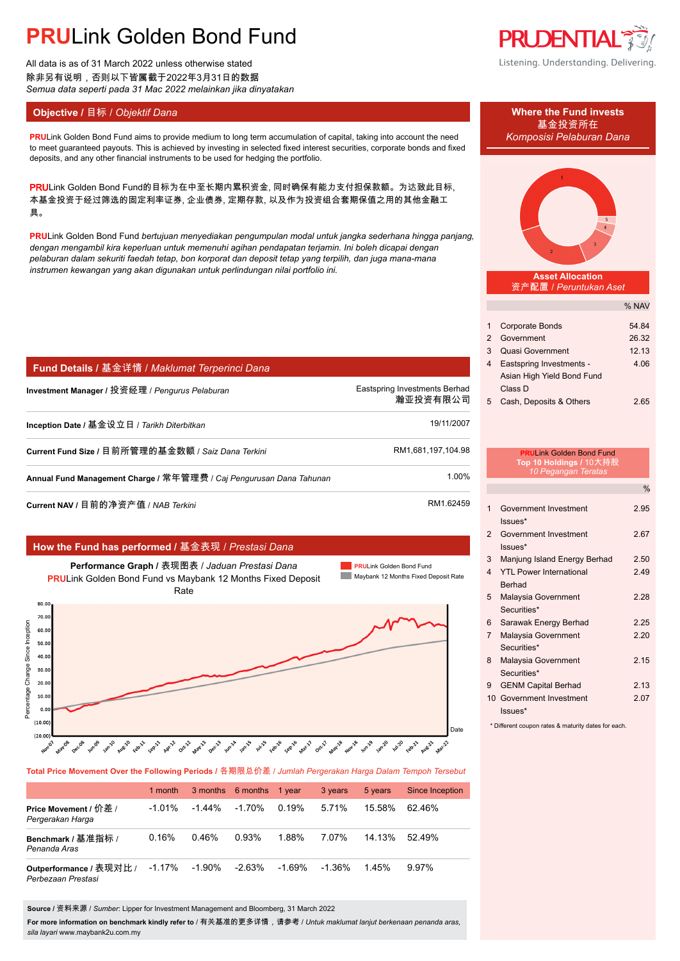# **PRU**Link Golden Bond Fund

All data is as of 31 March 2022 unless otherwise stated 除非另有说明,否则以下皆属截于2022年3月31日的数据 *Semua data seperti pada 31 Mac 2022 melainkan jika dinyatakan*

### **Objective / 目标 /** *Objektif Dana* **Where the Fund invests</u>**

**PRU**Link Golden Bond Fund aims to provide medium to long term accumulation of capital, taking into account the need *Komposisi Pelaburan Dana* to meet guaranteed payouts. This is achieved by investing in selected fixed interest securities, corporate bonds and fixed deposits, and any other financial instruments to be used for hedging the portfolio.

PRULink Golden Bond Fund的目标为在中至长期内累积资金, 同时确保有能力支付担保款额。为达致此目标, 本基金投资于经过筛选的固定利率证券, 企业债券, 定期存款, 以及作为投资组合套期保值之用的其他金融工 具。

**PRU**Link Golden Bond Fund *bertujuan menyediakan pengumpulan modal untuk jangka sederhana hingga panjang, dengan mengambil kira keperluan untuk memenuhi agihan pendapatan terjamin. Ini boleh dicapai dengan pelaburan dalam sekuriti faedah tetap, bon korporat dan deposit tetap yang terpilih, dan juga mana-mana instrumen kewangan yang akan digunakan untuk perlindungan nilai portfolio ini.*

| Fund Details / 基金详情 / Maklumat Terperinci Dana                      |                                           |
|---------------------------------------------------------------------|-------------------------------------------|
| Investment Manager / 投资经理 / <i>Penqurus Pelaburan</i>               | Eastspring Investments Berhad<br>瀚亚投资有限公司 |
| Inception Date / 基金设立日 / Tarikh Diterbitkan                         | 19/11/2007                                |
| Current Fund Size / 目前所管理的基金数额 / Saiz Dana Terkini                  | RM1.681.197.104.98                        |
| Annual Fund Management Charge / 常年管理费 / Caj Pengurusan Dana Tahunan | 1.00%                                     |
|                                                                     | $DM4$ $62150$                             |

**Current NAV /** 目前的净资产值 / *NAB Terkini* RM1.62459. RM1.62459

### **How the Fund has performed /** 基金表现 / *Prestasi Dana*



**Total Price Movement Over the Following Periods /** 各期限总价差 / *Jumlah Pergerakan Harga Dalam Tempoh Tersebut*

|                                               | 1 month   |           | 3 months 6 months | 1 year | 3 years | 5 years | <b>Since Inception</b> |
|-----------------------------------------------|-----------|-----------|-------------------|--------|---------|---------|------------------------|
| Price Movement / 价差 /<br>Pergerakan Harga     | $-1.01\%$ | $-1.44\%$ | $-1.70%$          | 0.19%  | 5.71%   | 15.58%  | 6246%                  |
| Benchmark / 基准指标 /<br>Penanda Aras            | 0.16%     | 0.46%     | 0.93%             | 1.88%  | 7.07%   | 14.13%  | 5249%                  |
| Outperformance / 表现对比 /<br>Perbezaan Prestasi | $-1.17\%$ | $-1.90\%$ | $-2.63\%$         | -1.69% | -1.36%  | 145%    | 9.97%                  |

**Source /** 资料来源 / *Sumber*: Lipper for Investment Management and Bloomberg, 31 March 2022

**For more information on benchmark kindly refer to** / 有关基准的更多详情,请参考 / *Untuk maklumat lanjut berkenaan penanda aras, sila layari* www.maybank2u.com.my

## **PRUDENTIAL** Listening. Understanding. Delivering.

基金投资所在



**Asset Allocation** 资产配置 / *Peruntukan Aset*

|   |                            | % NAV |
|---|----------------------------|-------|
|   |                            |       |
| 1 | <b>Corporate Bonds</b>     | 54.84 |
| 2 | Government                 | 26.32 |
| 3 | <b>Quasi Government</b>    | 12.13 |
| 4 | Eastspring Investments -   | 4.06  |
|   | Asian High Yield Bond Fund |       |
|   | Class D                    |       |
| 5 | Cash, Deposits & Others    | 2.65  |
|   |                            |       |

|                 | <b>PRULink Golden Bond Fund</b><br>Top 10 Holdings / 10大持股<br>10 Pegangan Teratas |               |
|-----------------|-----------------------------------------------------------------------------------|---------------|
|                 |                                                                                   | $\frac{0}{0}$ |
| 1               | Government Investment<br>$lssues*$                                                | 2.95          |
| $\mathfrak{p}$  | Government Investment<br>Issues*                                                  | 2.67          |
| 3               | Manjung Island Energy Berhad                                                      | 2.50          |
| $\Delta$        | <b>YTI Power International</b><br><b>Berhad</b>                                   | 249           |
| 5               | Malaysia Government<br>Securities*                                                | 2 28          |
| 6               | Sarawak Energy Berhad                                                             | 2.25          |
| $\overline{7}$  | Malaysia Government<br>Securities*                                                | 2.20          |
| 8               | Malaysia Government<br>Securities*                                                | 2.15          |
| 9               | <b>GENM Capital Berhad</b>                                                        | 2.13          |
| 10 <sup>1</sup> | Government Investment<br>$lssues*$                                                | 207           |

\* Different coupon rates & maturity dates for each.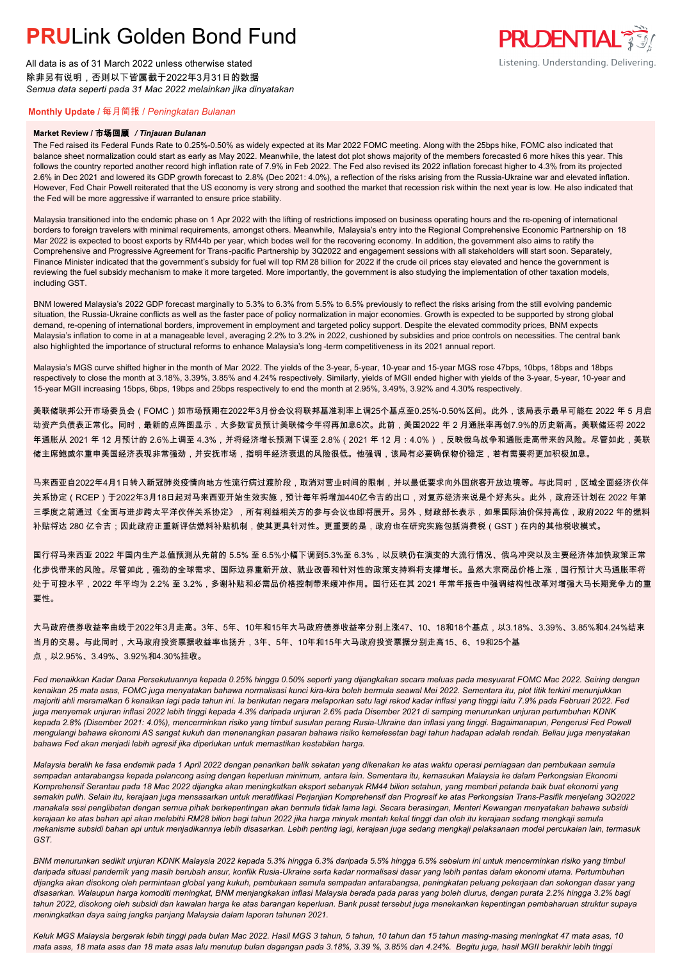# **PRUL** ink Golden Bond Fund

All data is as of 31 March 2022 unless otherwise stated 除非另有说明,否则以下皆属截于2022年3月31日的数据 *Semua data seperti pada 31 Mac 2022 melainkan jika dinyatakan*

### **PRUDENTIAL** Listening. Understanding. Delivering.

### **Monthly Update /** 每月简报 / *Peningkatan Bulanan*

### **Market Review /** 市场回顾 */ Tinjauan Bulanan*

The Fed raised its Federal Funds Rate to 0.25%-0.50% as widely expected at its Mar 2022 FOMC meeting. Along with the 25bps hike, FOMC also indicated that balance sheet normalization could start as early as May 2022. Meanwhile, the latest dot plot shows majority of the members forecasted 6 more hikes this year. This follows the country reported another record high inflation rate of 7.9% in Feb 2022. The Fed also revised its 2022 inflation forecast higher to 4.3% from its projected 2.6% in Dec 2021 and lowered its GDP growth forecast to 2.8% (Dec 2021: 4.0%), a reflection of the risks arising from the Russia-Ukraine war and elevated inflation. However, Fed Chair Powell reiterated that the US economy is very strong and soothed the market that recession risk within the next year is low. He also indicated that the Fed will be more aggressive if warranted to ensure price stability.

Malaysia transitioned into the endemic phase on 1 Apr 2022 with the lifting of restrictions imposed on business operating hours and the re-opening of international borders to foreign travelers with minimal requirements, amongst others. Meanwhile, Malaysia's entry into the Regional Comprehensive Economic Partnership on 18 Mar 2022 is expected to boost exports by RM44b per year, which bodes well for the recovering economy. In addition, the government also aims to ratify the Comprehensive and Progressive Agreement for Trans-pacific Partnership by 3Q2022 and engagement sessions with all stakeholders will start soon. Separately, Finance Minister indicated that the government's subsidy for fuel will top RM 28 billion for 2022 if the crude oil prices stay elevated and hence the government is reviewing the fuel subsidy mechanism to make it more targeted. More importantly, the government is also studying the implementation of other taxation models, including GST.

BNM lowered Malaysia's 2022 GDP forecast marginally to 5.3% to 6.3% from 5.5% to 6.5% previously to reflect the risks arising from the still evolving pandemic situation, the Russia-Ukraine conflicts as well as the faster pace of policy normalization in major economies. Growth is expected to be supported by strong global demand, re-opening of international borders, improvement in employment and targeted policy support. Despite the elevated commodity prices, BNM expects Malaysia's inflation to come in at a manageable level, averaging 2.2% to 3.2% in 2022, cushioned by subsidies and price controls on necessities. The central bank also highlighted the importance of structural reforms to enhance Malaysia's long -term competitiveness in its 2021 annual report.

Malaysia's MGS curve shifted higher in the month of Mar 2022. The yields of the 3-year, 5-year, 10-year and 15-year MGS rose 47bps, 10bps, 18bps and 18bps respectively to close the month at 3.18%, 3.39%, 3.85% and 4.24% respectively. Similarly, yields of MGII ended higher with yields of the 3-year, 5-year, 10-year and 15-year MGII increasing 15bps, 6bps, 19bps and 25bps respectively to end the month at 2.95%, 3.49%, 3.92% and 4.30% respectively.

美联储联邦公开市场委员会(FOMC)如市场预期在2022年3月份会议将联邦基准利率上调25个基点至0.25%-0.50%区间。此外,该局表示最早可能在 2022 年 5 月启 动资产负债表正常化。同时,最新的点阵图显示,大多数官员预计美联储今年将再加息6次。此前,美国2022 年 2 月通胀率再创7.9%的历史新高。美联储还将 2022 年通胀从 2021 年 12 月预计的 2.6%上调至 4.3%,并将经济增长预测下调至 2.8%(2021 年 12 月:4.0%),反映俄乌战争和通胀走高带来的风险。尽管如此,美联 储主席鲍威尔重申美国经济表现非常强劲,并安抚市场,指明年经济衰退的风险很低。他强调,该局有必要确保物价稳定,若有需要将更加积极加息。

马来西亚自2022年4月1日转入新冠肺炎疫情向地方性流行病过渡阶段,取消对营业时间的限制,并以最低要求向外国旅客开放边境等。与此同时,区域全面经济伙伴 关系协定(RCEP)于2022年3月18日起对马来西亚开始生效实施,预计每年将增加440亿令吉的出口,对复苏经济来说是个好兆头。此外,政府还计划在 2022 年第 三季度之前通过《全面与进步跨太平洋伙伴关系协定》,所有利益相关方的参与会议也即将展开。另外,财政部长表示,如果国际油价保持高位,政府2022 年的燃料 补贴将达 280 亿令吉;因此政府正重新评估燃料补贴机制,使其更具针对性。更重要的是,政府也在研究实施包括消费税(GST)在内的其他税收模式。

国行将马来西亚 2022 年国内生产总值预测从先前的 5.5% 至 6.5%小幅下调到5.3%至 6.3%,以反映仍在演变的大流行情况、俄乌冲突以及主要经济体加快政策正常 化步伐带来的风险。尽管如此,强劲的全球需求、国际边界重新开放、就业改善和针对性的政策支持料将支撑增长。虽然大宗商品价格上涨,国行预计大马通胀率将 处于可控水平,2022 年平均为 2.2% 至 3.2%,多谢补贴和必需品价格控制带来缓冲作用。国行还在其 2021 年常年报告中强调结构性改革对增强大马长期竞争力的重 要性。

大马政府债券收益率曲线于2022年3月走高。3年、5年、10年和15年大马政府债券收益率分别上涨47、10、18和18个基点,以3.18%、3.39%、3.85%和4.24%结束 当月的交易。与此同时,大马政府投资票据收益率也扬升,3年、5年、10年和15年大马政府投资票据分别走高15、6、19和25个基 点,以2.95%、3.49%、3.92%和4.30%挂收。

*Fed menaikkan Kadar Dana Persekutuannya kepada 0.25% hingga 0.50% seperti yang dijangkakan secara meluas pada mesyuarat FOMC Mac 2022. Seiring dengan kenaikan 25 mata asas, FOMC juga menyatakan bahawa normalisasi kunci kira-kira boleh bermula seawal Mei 2022. Sementara itu, plot titik terkini menunjukkan majoriti ahli meramalkan 6 kenaikan lagi pada tahun ini. Ia berikutan negara melaporkan satu lagi rekod kadar inflasi yang tinggi iaitu 7.9% pada Februari 2022. Fed juga menyemak unjuran inflasi 2022 lebih tinggi kepada 4.3% daripada unjuran 2.6% pada Disember 2021 di samping menurunkan unjuran pertumbuhan KDNK kepada 2.8% (Disember 2021: 4.0%), mencerminkan risiko yang timbul susulan perang Rusia-Ukraine dan inflasi yang tinggi. Bagaimanapun, Pengerusi Fed Powell mengulangi bahawa ekonomi AS sangat kukuh dan menenangkan pasaran bahawa risiko kemelesetan bagi tahun hadapan adalah rendah. Beliau juga menyatakan bahawa Fed akan menjadi lebih agresif jika diperlukan untuk memastikan kestabilan harga.*

*Malaysia beralih ke fasa endemik pada 1 April 2022 dengan penarikan balik sekatan yang dikenakan ke atas waktu operasi perniagaan dan pembukaan semula sempadan antarabangsa kepada pelancong asing dengan keperluan minimum, antara lain. Sementara itu, kemasukan Malaysia ke dalam Perkongsian Ekonomi Komprehensif Serantau pada 18 Mac 2022 dijangka akan meningkatkan eksport sebanyak RM44 bilion setahun, yang memberi petanda baik buat ekonomi yang semakin pulih. Selain itu, kerajaan juga mensasarkan untuk meratifikasi Perjanjian Komprehensif dan Progresif ke atas Perkongsian Trans-Pasifik menjelang 3Q2022 manakala sesi penglibatan dengan semua pihak berkepentingan akan bermula tidak lama lagi. Secara berasingan, Menteri Kewangan menyatakan bahawa subsidi kerajaan ke atas bahan api akan melebihi RM28 bilion bagi tahun 2022 jika harga minyak mentah kekal tinggi dan oleh itu kerajaan sedang mengkaji semula mekanisme subsidi bahan api untuk menjadikannya lebih disasarkan. Lebih penting lagi, kerajaan juga sedang mengkaji pelaksanaan model percukaian lain, termasuk GST.*

*BNM menurunkan sedikit unjuran KDNK Malaysia 2022 kepada 5.3% hingga 6.3% daripada 5.5% hingga 6.5% sebelum ini untuk mencerminkan risiko yang timbul daripada situasi pandemik yang masih berubah ansur, konflik Rusia-Ukraine serta kadar normalisasi dasar yang lebih pantas dalam ekonomi utama. Pertumbuhan dijangka akan disokong oleh permintaan global yang kukuh, pembukaan semula sempadan antarabangsa, peningkatan peluang pekerjaan dan sokongan dasar yang disasarkan. Walaupun harga komoditi meningkat, BNM menjangkakan inflasi Malaysia berada pada paras yang boleh diurus, dengan purata 2.2% hingga 3.2% bagi tahun 2022, disokong oleh subsidi dan kawalan harga ke atas barangan keperluan. Bank pusat tersebut juga menekankan kepentingan pembaharuan struktur supaya meningkatkan daya saing jangka panjang Malaysia dalam laporan tahunan 2021.*

*Keluk MGS Malaysia bergerak lebih tinggi pada bulan Mac 2022. Hasil MGS 3 tahun, 5 tahun, 10 tahun dan 15 tahun masing-masing meningkat 47 mata asas, 10 mata asas, 18 mata asas dan 18 mata asas lalu menutup bulan dagangan pada 3.18%, 3.39 %, 3.85% dan 4.24%. Begitu juga, hasil MGII berakhir lebih tinggi*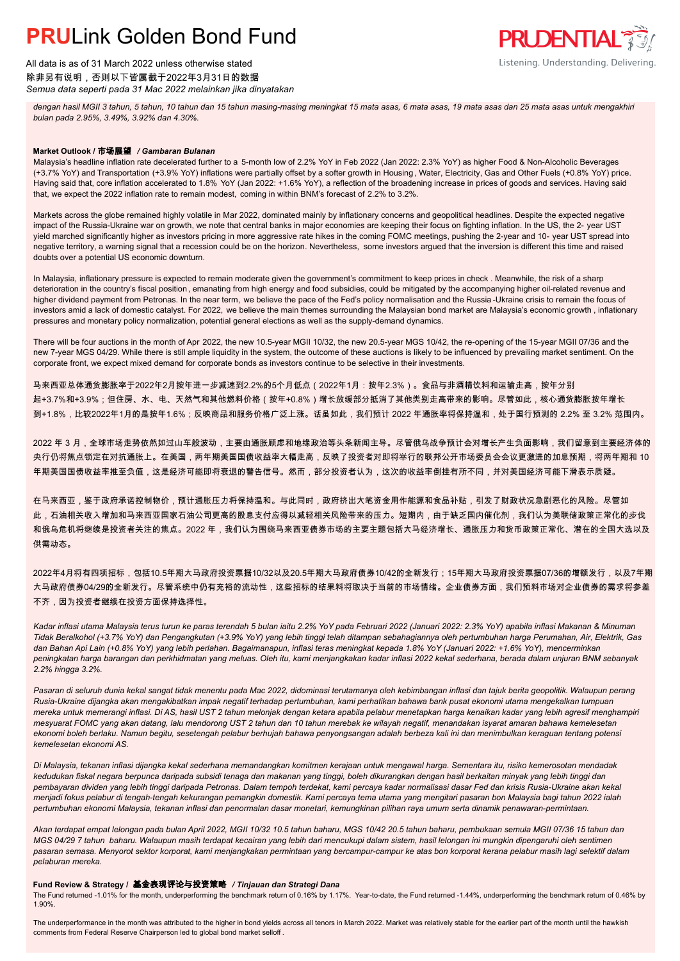# **PRUL** ink Golden Bond Fund

All data is as of 31 March 2022 unless otherwise stated 除非另有说明,否则以下皆属截于2022年3月31日的数据 *Semua data seperti pada 31 Mac 2022 melainkan jika dinyatakan*

*dengan hasil MGII 3 tahun, 5 tahun, 10 tahun dan 15 tahun masing-masing meningkat 15 mata asas, 6 mata asas, 19 mata asas dan 25 mata asas untuk mengakhiri bulan pada 2.95%, 3.49%, 3.92% dan 4.30%.*

**PRUDENTIAL** 

Listening. Understanding. Delivering.

#### **Market Outlook /** 市场展望 */ Gambaran Bulanan*

Malaysia's headline inflation rate decelerated further to a 5-month low of 2.2% YoY in Feb 2022 (Jan 2022: 2.3% YoY) as higher Food & Non-Alcoholic Beverages (+3.7% YoY) and Transportation (+3.9% YoY) inflations were partially offset by a softer growth in Housing , Water, Electricity, Gas and Other Fuels (+0.8% YoY) price. Having said that, core inflation accelerated to 1.8% YoY (Jan 2022: +1.6% YoY), a reflection of the broadening increase in prices of goods and services. Having said that, we expect the 2022 inflation rate to remain modest, coming in within BNM's forecast of 2.2% to 3.2%.

Markets across the globe remained highly volatile in Mar 2022, dominated mainly by inflationary concerns and geopolitical headlines. Despite the expected negative impact of the Russia-Ukraine war on growth, we note that central banks in major economies are keeping their focus on fighting inflation. In the US, the 2- year UST yield marched significantly higher as investors pricing in more aggressive rate hikes in the coming FOMC meetings, pushing the 2-year and 10- year UST spread into negative territory, a warning signal that a recession could be on the horizon. Nevertheless, some investors argued that the inversion is different this time and raised doubts over a potential US economic downturn.

In Malaysia, inflationary pressure is expected to remain moderate given the government's commitment to keep prices in check . Meanwhile, the risk of a sharp deterioration in the country's fiscal position, emanating from high energy and food subsidies, could be mitigated by the accompanying higher oil-related revenue and higher dividend payment from Petronas. In the near term, we believe the pace of the Fed's policy normalisation and the Russia -Ukraine crisis to remain the focus of investors amid a lack of domestic catalyst. For 2022, we believe the main themes surrounding the Malaysian bond market are Malaysia's economic growth, inflationary pressures and monetary policy normalization, potential general elections as well as the supply-demand dynamics.

There will be four auctions in the month of Apr 2022, the new 10.5-year MGII 10/32, the new 20.5-year MGS 10/42, the re-opening of the 15-year MGII 07/36 and the new 7-year MGS 04/29. While there is still ample liquidity in the system, the outcome of these auctions is likely to be influenced by prevailing market sentiment. On the corporate front, we expect mixed demand for corporate bonds as investors continue to be selective in their investments.

马来西亚总体通货膨胀率于2022年2月按年进一步减速到2.2%的5个月低点(2022年1月:按年2.3%)。食品与非酒精饮料和运输走高,按年分别 起+3.7%和+3.9%;但住房、水、电、天然气和其他燃料价格(按年+0.8%)增长放缓部分抵消了其他类别走高带来的影响。尽管如此,核心通货膨胀按年增长 到+1.8%,比较2022年1月的是按年1.6%;反映商品和服务价格广泛上涨。话虽如此,我们预计 2022 年通胀率将保持温和,处于国行预测的 2.2% 至 3.2% 范围内。

2022 年 3 月,全球市场走势依然如过山车般波动,主要由通胀顾虑和地缘政治等头条新闻主导。尽管俄乌战争预计会对增长产生负面影响,我们留意到主要经济体的 央行仍将焦点锁定在对抗通胀上。在美国,两年期美国国债收益率大幅走高,反映了投资者对即将举行的联邦公开市场委员会会议更激进的加息预期,将两年期和 10 年期美国国债收益率推至负值,这是经济可能即将衰退的警告信号。然而,部分投资者认为,这次的收益率倒挂有所不同,并对美国经济可能下滑表示质疑。

在马来西亚,鉴于政府承诺控制物价,预计通胀压力将保持温和。与此同时,政府挤出大笔资金用作能源和食品补贴,引发了财政状况急剧恶化的风险。尽管如 此,石油相关收入增加和马来西亚国家石油公司更高的股息支付应得以减轻相关风险带来的压力。短期内,由于缺乏国内催化剂,我们认为美联储政策正常化的步伐 和俄乌危机将继续是投资者关注的焦点。2022 年,我们认为围绕马来西亚债券市场的主要主题包括大马经济增长、通胀压力和货币政策正常化、潜在的全国大选以及 供需动态。

2022年4月将有四项招标,包括10.5年期大马政府投资票据10/32以及20.5年期大马政府债券10/42的全新发行;15年期大马政府投资票据07/36的增额发行,以及7年期 大马政府债券04/29的全新发行。尽管系统中仍有充裕的流动性,这些招标的结果料将取决于当前的市场情绪。企业债券方面,我们预料市场对企业债券的需求将参差 不齐,因为投资者继续在投资方面保持选择性。

*Kadar inflasi utama Malaysia terus turun ke paras terendah 5 bulan iaitu 2.2% YoY pada Februari 2022 (Januari 2022: 2.3% YoY) apabila inflasi Makanan & Minuman Tidak Beralkohol (+3.7% YoY) dan Pengangkutan (+3.9% YoY) yang lebih tinggi telah ditampan sebahagiannya oleh pertumbuhan harga Perumahan, Air, Elektrik, Gas dan Bahan Api Lain (+0.8% YoY) yang lebih perlahan. Bagaimanapun, inflasi teras meningkat kepada 1.8% YoY (Januari 2022: +1.6% YoY), mencerminkan peningkatan harga barangan dan perkhidmatan yang meluas. Oleh itu, kami menjangkakan kadar inflasi 2022 kekal sederhana, berada dalam unjuran BNM sebanyak 2.2% hingga 3.2%.*

*Pasaran di seluruh dunia kekal sangat tidak menentu pada Mac 2022, didominasi terutamanya oleh kebimbangan inflasi dan tajuk berita geopolitik. Walaupun perang Rusia-Ukraine dijangka akan mengakibatkan impak negatif terhadap pertumbuhan, kami perhatikan bahawa bank pusat ekonomi utama mengekalkan tumpuan mereka untuk memerangi inflasi. Di AS, hasil UST 2 tahun melonjak dengan ketara apabila pelabur menetapkan harga kenaikan kadar yang lebih agresif menghampiri mesyuarat FOMC yang akan datang, lalu mendorong UST 2 tahun dan 10 tahun merebak ke wilayah negatif, menandakan isyarat amaran bahawa kemelesetan ekonomi boleh berlaku. Namun begitu, sesetengah pelabur berhujah bahawa penyongsangan adalah berbeza kali ini dan menimbulkan keraguan tentang potensi kemelesetan ekonomi AS.*

*Di Malaysia, tekanan inflasi dijangka kekal sederhana memandangkan komitmen kerajaan untuk mengawal harga. Sementara itu, risiko kemerosotan mendadak kedudukan fiskal negara berpunca daripada subsidi tenaga dan makanan yang tinggi, boleh dikurangkan dengan hasil berkaitan minyak yang lebih tinggi dan pembayaran dividen yang lebih tinggi daripada Petronas. Dalam tempoh terdekat, kami percaya kadar normalisasi dasar Fed dan krisis Rusia-Ukraine akan kekal menjadi fokus pelabur di tengah-tengah kekurangan pemangkin domestik. Kami percaya tema utama yang mengitari pasaran bon Malaysia bagi tahun 2022 ialah pertumbuhan ekonomi Malaysia, tekanan inflasi dan penormalan dasar monetari, kemungkinan pilihan raya umum serta dinamik penawaran-permintaan.*

*Akan terdapat empat lelongan pada bulan April 2022, MGII 10/32 10.5 tahun baharu, MGS 10/42 20.5 tahun baharu, pembukaan semula MGII 07/36 15 tahun dan MGS 04/29 7 tahun baharu. Walaupun masih terdapat kecairan yang lebih dari mencukupi dalam sistem, hasil lelongan ini mungkin dipengaruhi oleh sentimen pasaran semasa. Menyorot sektor korporat, kami menjangkakan permintaan yang bercampur-campur ke atas bon korporat kerana pelabur masih lagi selektif dalam pelaburan mereka.*

### **Fund Review & Strategy /** 基金表现评论与投资策略 */ Tinjauan dan Strategi Dana*

The Fund returned -1.01% for the month, underperforming the benchmark return of 0.16% by 1.17%. Year-to-date, the Fund returned -1.44%, underperforming the benchmark return of 0.46% by 1.90%.

The underperformance in the month was attributed to the higher in bond yields across all tenors in March 2022. Market was relatively stable for the earlier part of the month until the hawkish comments from Federal Reserve Chairperson led to global bond market selloff .